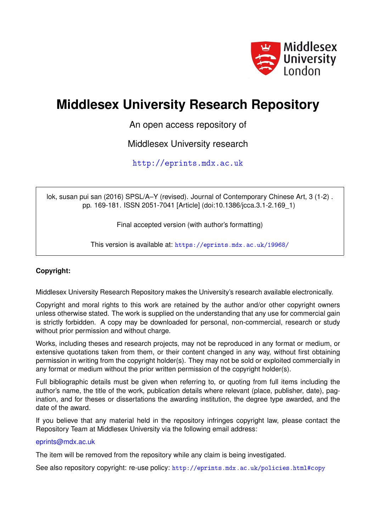

# **Middlesex University Research Repository**

An open access repository of

Middlesex University research

<http://eprints.mdx.ac.uk>

lok, susan pui san (2016) SPSL/A–Y (revised). Journal of Contemporary Chinese Art, 3 (1-2) . pp. 169-181. ISSN 2051-7041 [Article] (doi:10.1386/jcca.3.1-2.169\_1)

Final accepted version (with author's formatting)

This version is available at: <https://eprints.mdx.ac.uk/19968/>

# **Copyright:**

Middlesex University Research Repository makes the University's research available electronically.

Copyright and moral rights to this work are retained by the author and/or other copyright owners unless otherwise stated. The work is supplied on the understanding that any use for commercial gain is strictly forbidden. A copy may be downloaded for personal, non-commercial, research or study without prior permission and without charge.

Works, including theses and research projects, may not be reproduced in any format or medium, or extensive quotations taken from them, or their content changed in any way, without first obtaining permission in writing from the copyright holder(s). They may not be sold or exploited commercially in any format or medium without the prior written permission of the copyright holder(s).

Full bibliographic details must be given when referring to, or quoting from full items including the author's name, the title of the work, publication details where relevant (place, publisher, date), pagination, and for theses or dissertations the awarding institution, the degree type awarded, and the date of the award.

If you believe that any material held in the repository infringes copyright law, please contact the Repository Team at Middlesex University via the following email address:

# [eprints@mdx.ac.uk](mailto:eprints@mdx.ac.uk)

The item will be removed from the repository while any claim is being investigated.

See also repository copyright: re-use policy: <http://eprints.mdx.ac.uk/policies.html#copy>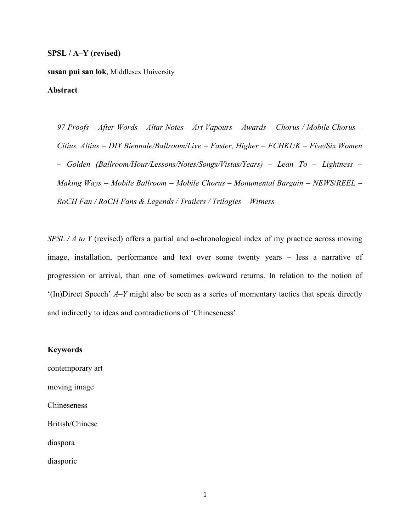# **SPSL / A–Y (revised)**

**susan pui san lok**, Middlesex University

# **Abstract**

*97 Proofs – After Words – Altar Notes – Art Vapours – Awards* – *Chorus / Mobile Chorus* – *Citius, Altius* – *DIY Biennale/Ballroom/Live* – *Faster, Higher* – *FCHKUK – Five/Six Women* – *Golden (Ballroom/Hour/Lessons/Notes/Songs/Vistas/Years) – Lean To* – *Lightness* – *Making Ways* – *Mobile Ballroom* – *Mobile Chorus – Monumental Bargain* – *NEWS*/*REEL* – *RoCH Fan / RoCH Fans & Legends / Trailers / Trilogies – Witness*

*SPSL / A to Y* (revised) offers a partial and a-chronological index of my practice across moving image, installation, performance and text over some twenty years – less a narrative of progression or arrival, than one of sometimes awkward returns. In relation to the notion of '(In)Direct Speech' *A–Y* might also be seen as a series of momentary tactics that speak directly and indirectly to ideas and contradictions of 'Chineseness'.

# **Keywords**

contemporary art moving image Chineseness British/Chinese diaspora diasporic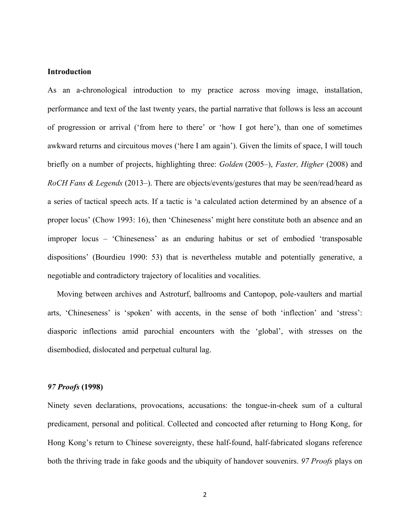# **Introduction**

As an a-chronological introduction to my practice across moving image, installation, performance and text of the last twenty years, the partial narrative that follows is less an account of progression or arrival ('from here to there' or 'how I got here'), than one of sometimes awkward returns and circuitous moves ('here I am again'). Given the limits of space, I will touch briefly on a number of projects, highlighting three: *Golden* (2005–), *Faster, Higher* (2008) and *RoCH Fans & Legends* (2013–). There are objects/events/gestures that may be seen/read/heard as a series of tactical speech acts. If a tactic is 'a calculated action determined by an absence of a proper locus' (Chow 1993: 16), then 'Chineseness' might here constitute both an absence and an improper locus – 'Chineseness' as an enduring habitus or set of embodied 'transposable dispositions' (Bourdieu 1990: 53) that is nevertheless mutable and potentially generative, a negotiable and contradictory trajectory of localities and vocalities.

Moving between archives and Astroturf, ballrooms and Cantopop, pole-vaulters and martial arts, 'Chineseness' is 'spoken' with accents, in the sense of both 'inflection' and 'stress': diasporic inflections amid parochial encounters with the 'global', with stresses on the disembodied, dislocated and perpetual cultural lag.

#### *97 Proofs* **(1998)**

Ninety seven declarations, provocations, accusations: the tongue-in-cheek sum of a cultural predicament, personal and political. Collected and concocted after returning to Hong Kong, for Hong Kong's return to Chinese sovereignty, these half-found, half-fabricated slogans reference both the thriving trade in fake goods and the ubiquity of handover souvenirs. *97 Proofs* plays on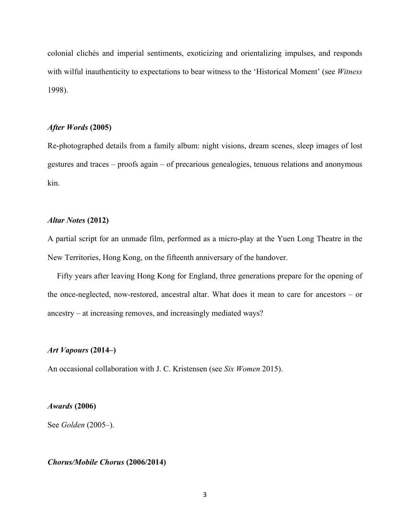colonial clichés and imperial sentiments, exoticizing and orientalizing impulses, and responds with wilful inauthenticity to expectations to bear witness to the 'Historical Moment' (see *Witness* 1998).

# *After Words* **(2005)**

Re-photographed details from a family album: night visions, dream scenes, sleep images of lost gestures and traces – proofs again – of precarious genealogies, tenuous relations and anonymous kin.

# *Altar Notes* **(2012)**

A partial script for an unmade film, performed as a micro-play at the Yuen Long Theatre in the New Territories, Hong Kong, on the fifteenth anniversary of the handover.

Fifty years after leaving Hong Kong for England, three generations prepare for the opening of the once-neglected, now-restored, ancestral altar. What does it mean to care for ancestors – or ancestry – at increasing removes, and increasingly mediated ways?

# *Art Vapours* **(2014–)**

An occasional collaboration with J. C. Kristensen (see *Six Women* 2015).

# *Awards* **(2006)**

See *Golden* (2005–).

*Chorus/Mobile Chorus* **(2006/2014)**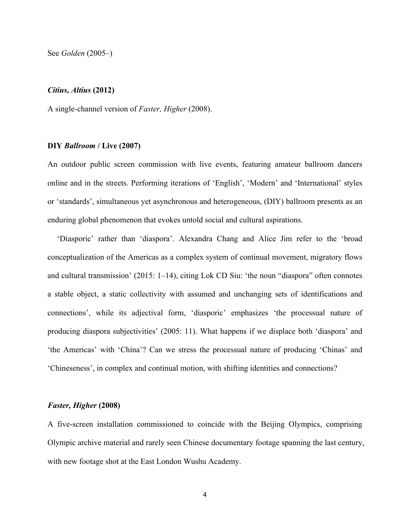See *Golden* (2005–)

# *Citius, Altius* **(2012)**

A single-channel version of *Faster, Higher* (2008).

## **DIY** *Ballroom* **/ Live (2007)**

An outdoor public screen commission with live events, featuring amateur ballroom dancers online and in the streets. Performing iterations of 'English', 'Modern' and 'International' styles or 'standards', simultaneous yet asynchronous and heterogeneous, (DIY) ballroom presents as an enduring global phenomenon that evokes untold social and cultural aspirations.

'Diasporic' rather than 'diaspora'. Alexandra Chang and Alice Jim refer to the 'broad conceptualization of the Americas as a complex system of continual movement, migratory flows and cultural transmission' (2015: 1–14), citing Lok CD Siu: 'the noun "diaspora" often connotes a stable object, a static collectivity with assumed and unchanging sets of identifications and connections', while its adjectival form, 'diasporic' emphasizes 'the processual nature of producing diaspora subjectivities' (2005: 11). What happens if we displace both 'diaspora' and 'the Americas' with 'China'? Can we stress the processual nature of producing 'Chinas' and 'Chineseness', in complex and continual motion, with shifting identities and connections?

# *Faster, Higher* **(2008)**

A five-screen installation commissioned to coincide with the Beijing Olympics, comprising Olympic archive material and rarely seen Chinese documentary footage spanning the last century, with new footage shot at the East London Wushu Academy.

4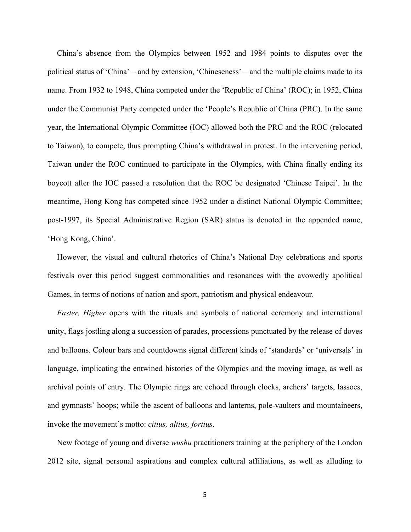China's absence from the Olympics between 1952 and 1984 points to disputes over the political status of 'China' – and by extension, 'Chineseness' – and the multiple claims made to its name. From 1932 to 1948, China competed under the 'Republic of China' (ROC); in 1952, China under the Communist Party competed under the 'People's Republic of China (PRC). In the same year, the International Olympic Committee (IOC) allowed both the PRC and the ROC (relocated to Taiwan), to compete, thus prompting China's withdrawal in protest. In the intervening period, Taiwan under the ROC continued to participate in the Olympics, with China finally ending its boycott after the IOC passed a resolution that the ROC be designated 'Chinese Taipei'. In the meantime, Hong Kong has competed since 1952 under a distinct National Olympic Committee; post-1997, its Special Administrative Region (SAR) status is denoted in the appended name, 'Hong Kong, China'.

However, the visual and cultural rhetorics of China's National Day celebrations and sports festivals over this period suggest commonalities and resonances with the avowedly apolitical Games, in terms of notions of nation and sport, patriotism and physical endeavour.

*Faster, Higher* opens with the rituals and symbols of national ceremony and international unity, flags jostling along a succession of parades, processions punctuated by the release of doves and balloons. Colour bars and countdowns signal different kinds of 'standards' or 'universals' in language, implicating the entwined histories of the Olympics and the moving image, as well as archival points of entry. The Olympic rings are echoed through clocks, archers' targets, lassoes, and gymnasts' hoops; while the ascent of balloons and lanterns, pole-vaulters and mountaineers, invoke the movement's motto: *citius, altius, fortius*.

New footage of young and diverse *wushu* practitioners training at the periphery of the London 2012 site, signal personal aspirations and complex cultural affiliations, as well as alluding to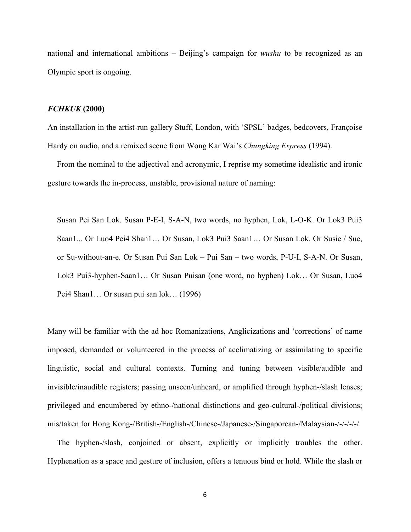national and international ambitions – Beijing's campaign for *wushu* to be recognized as an Olympic sport is ongoing.

# *FCHKUK* **(2000)**

An installation in the artist-run gallery Stuff, London, with 'SPSL' badges, bedcovers, Françoise Hardy on audio, and a remixed scene from Wong Kar Wai's *Chungking Express* (1994).

From the nominal to the adjectival and acronymic, I reprise my sometime idealistic and ironic gesture towards the in-process, unstable, provisional nature of naming:

Susan Pei San Lok. Susan P-E-I, S-A-N, two words, no hyphen, Lok, L-O-K. Or Lok3 Pui3 Saan1... Or Luo4 Pei4 Shan1… Or Susan, Lok3 Pui3 Saan1… Or Susan Lok. Or Susie / Sue, or Su-without-an-e. Or Susan Pui San Lok – Pui San – two words, P-U-I, S-A-N. Or Susan, Lok3 Pui3-hyphen-Saan1… Or Susan Puisan (one word, no hyphen) Lok… Or Susan, Luo4 Pei4 Shan1… Or susan pui san lok… (1996)

Many will be familiar with the ad hoc Romanizations, Anglicizations and 'corrections' of name imposed, demanded or volunteered in the process of acclimatizing or assimilating to specific linguistic, social and cultural contexts. Turning and tuning between visible/audible and invisible/inaudible registers; passing unseen/unheard, or amplified through hyphen-/slash lenses; privileged and encumbered by ethno-/national distinctions and geo-cultural-/political divisions; mis/taken for Hong Kong-/British-/English-/Chinese-/Japanese-/Singaporean-/Malaysian-/-/-/-/-/

The hyphen-/slash, conjoined or absent, explicitly or implicitly troubles the other. Hyphenation as a space and gesture of inclusion, offers a tenuous bind or hold. While the slash or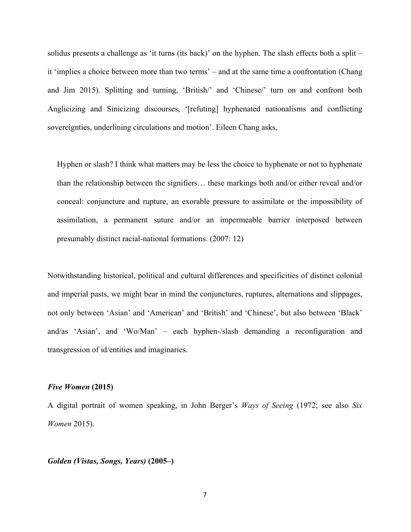solidus presents a challenge as 'it turns (its back)' on the hyphen. The slash effects both a split – it 'implies a choice between more than two terms' – and at the same time a confrontation (Chang and Jim 2015). Splitting and turning, 'British/' and 'Chinese/' turn on and confront both Anglicizing and Sinicizing discourses, '[refuting] hyphenated nationalisms and conflicting sovereignties, underlining circulations and motion'. Eileen Chang asks,

Hyphen or slash? I think what matters may be less the choice to hyphenate or not to hyphenate than the relationship between the signifiers… these markings both and/or either reveal and/or conceal: conjuncture and rupture, an exorable pressure to assimilate or the impossibility of assimilation, a permanent suture and/or an impermeable barrier interposed between presumably distinct racial-national formations. (2007: 12)

Notwithstanding historical, political and cultural differences and specificities of distinct colonial and imperial pasts, we might bear in mind the conjunctures, ruptures, alternations and slippages, not only between 'Asian' and 'American' and 'British' and 'Chinese', but also between 'Black' and/as 'Asian', and 'Wo/Man' – each hyphen-/slash demanding a reconfiguration and transgression of id/entities and imaginaries.

#### *Five Women* **(2015)**

A digital portrait of women speaking, in John Berger's *Ways of Seeing* (1972; see also *Six Women* 2015).

*Golden (Vistas, Songs, Years)* **(2005–)**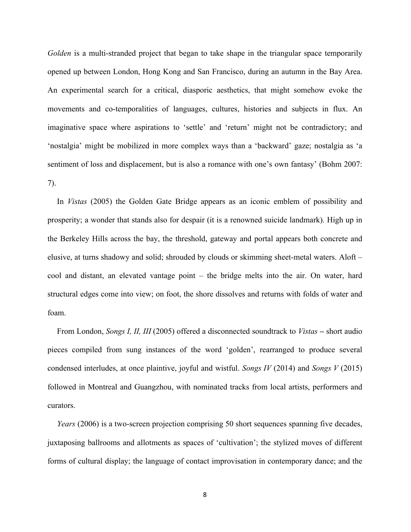*Golden* is a multi-stranded project that began to take shape in the triangular space temporarily opened up between London, Hong Kong and San Francisco, during an autumn in the Bay Area. An experimental search for a critical, diasporic aesthetics, that might somehow evoke the movements and co-temporalities of languages, cultures, histories and subjects in flux. An imaginative space where aspirations to 'settle' and 'return' might not be contradictory; and 'nostalgia' might be mobilized in more complex ways than a 'backward' gaze; nostalgia as 'a sentiment of loss and displacement, but is also a romance with one's own fantasy' (Bohm 2007: 7).

In *Vistas* (2005) the Golden Gate Bridge appears as an iconic emblem of possibility and prosperity; a wonder that stands also for despair (it is a renowned suicide landmark)*.* High up in the Berkeley Hills across the bay, the threshold, gateway and portal appears both concrete and elusive, at turns shadowy and solid; shrouded by clouds or skimming sheet-metal waters. Aloft – cool and distant, an elevated vantage point – the bridge melts into the air. On water, hard structural edges come into view; on foot, the shore dissolves and returns with folds of water and foam.

From London, *Songs I, II, III* (2005) offered a disconnected soundtrack to *Vistas –* short audio pieces compiled from sung instances of the word 'golden', rearranged to produce several condensed interludes, at once plaintive, joyful and wistful. *Songs IV* (2014) and *Songs V* (2015) followed in Montreal and Guangzhou, with nominated tracks from local artists, performers and curators.

*Years* (2006) is a two-screen projection comprising 50 short sequences spanning five decades, juxtaposing ballrooms and allotments as spaces of 'cultivation'; the stylized moves of different forms of cultural display; the language of contact improvisation in contemporary dance; and the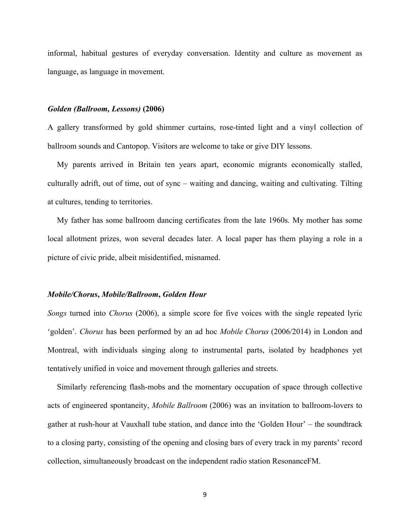informal, habitual gestures of everyday conversation. Identity and culture as movement as language, as language in movement.

#### *Golden (Ballroom, Lessons)* **(2006)**

A gallery transformed by gold shimmer curtains, rose-tinted light and a vinyl collection of ballroom sounds and Cantopop. Visitors are welcome to take or give DIY lessons.

My parents arrived in Britain ten years apart, economic migrants economically stalled, culturally adrift, out of time, out of sync – waiting and dancing, waiting and cultivating. Tilting at cultures, tending to territories.

My father has some ballroom dancing certificates from the late 1960s. My mother has some local allotment prizes, won several decades later. A local paper has them playing a role in a picture of civic pride, albeit misidentified, misnamed.

#### *Mobile/Chorus***,** *Mobile/Ballroom***,** *Golden Hour*

*Songs* turned into *Chorus* (2006), a simple score for five voices with the single repeated lyric 'golden'. *Chorus* has been performed by an ad hoc *Mobile Chorus* (2006/2014) in London and Montreal, with individuals singing along to instrumental parts, isolated by headphones yet tentatively unified in voice and movement through galleries and streets.

Similarly referencing flash-mobs and the momentary occupation of space through collective acts of engineered spontaneity, *Mobile Ballroom* (2006) was an invitation to ballroom-lovers to gather at rush-hour at Vauxhall tube station, and dance into the 'Golden Hour' – the soundtrack to a closing party, consisting of the opening and closing bars of every track in my parents' record collection, simultaneously broadcast on the independent radio station ResonanceFM.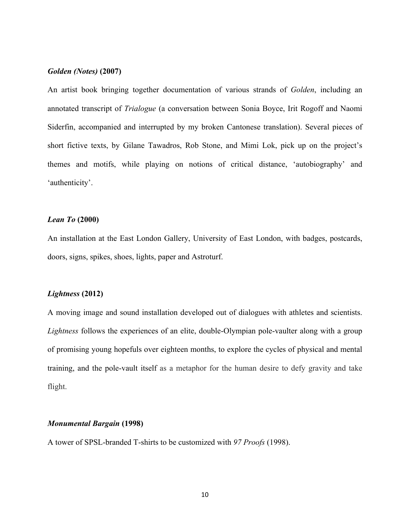# *Golden (Notes)* **(2007)**

An artist book bringing together documentation of various strands of *Golden*, including an annotated transcript of *Trialogue* (a conversation between Sonia Boyce, Irit Rogoff and Naomi Siderfin, accompanied and interrupted by my broken Cantonese translation). Several pieces of short fictive texts, by Gilane Tawadros, Rob Stone, and Mimi Lok, pick up on the project's themes and motifs, while playing on notions of critical distance, 'autobiography' and 'authenticity'.

# *Lean To* **(2000)**

An installation at the East London Gallery, University of East London, with badges, postcards, doors, signs, spikes, shoes, lights, paper and Astroturf.

# *Lightness* **(2012)**

A moving image and sound installation developed out of dialogues with athletes and scientists. *Lightness* follows the experiences of an elite, double-Olympian pole-vaulter along with a group of promising young hopefuls over eighteen months, to explore the cycles of physical and mental training, and the pole-vault itself as a metaphor for the human desire to defy gravity and take flight.

# *Monumental Bargain* **(1998)**

A tower of SPSL-branded T-shirts to be customized with *97 Proofs* (1998).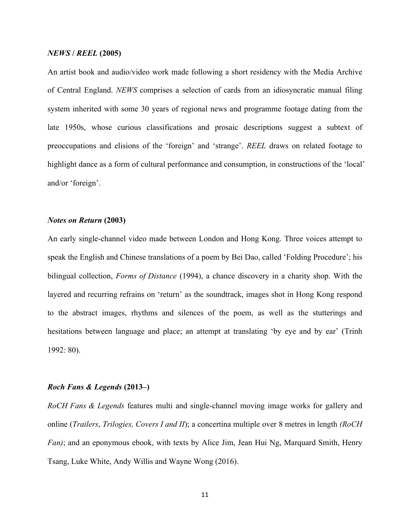# *NEWS* **/** *REEL* **(2005)**

An artist book and audio/video work made following a short residency with the Media Archive of Central England. *NEWS* comprises a selection of cards from an idiosyncratic manual filing system inherited with some 30 years of regional news and programme footage dating from the late 1950s, whose curious classifications and prosaic descriptions suggest a subtext of preoccupations and elisions of the 'foreign' and 'strange'. *REEL* draws on related footage to highlight dance as a form of cultural performance and consumption, in constructions of the 'local' and/or 'foreign'.

# *Notes on Return* **(2003)**

An early single-channel video made between London and Hong Kong. Three voices attempt to speak the English and Chinese translations of a poem by Bei Dao, called 'Folding Procedure'; his bilingual collection, *Forms of Distance* (1994), a chance discovery in a charity shop. With the layered and recurring refrains on 'return' as the soundtrack, images shot in Hong Kong respond to the abstract images, rhythms and silences of the poem, as well as the stutterings and hesitations between language and place; an attempt at translating 'by eye and by ear' (Trinh 1992: 80).

#### *Roch Fans & Legends* **(2013–)**

*RoCH Fans & Legends* features multi and single-channel moving image works for gallery and online (*Trailers*, *Trilogies, Covers I and II*); a concertina multiple over 8 metres in length *(RoCH Fan*); and an eponymous ebook, with texts by Alice Jim, Jean Hui Ng, Marquard Smith, Henry Tsang, Luke White, Andy Willis and Wayne Wong (2016).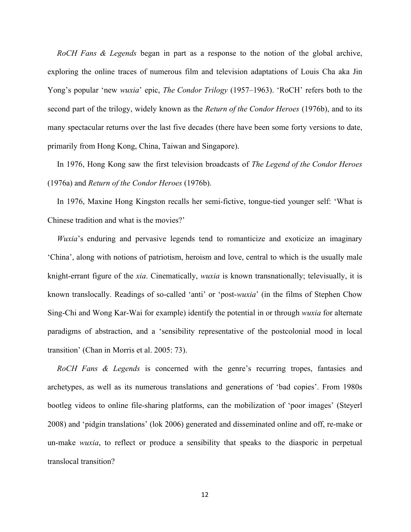*RoCH Fans & Legends* began in part as a response to the notion of the global archive, exploring the online traces of numerous film and television adaptations of Louis Cha aka Jin Yong's popular 'new *wuxia*' epic, *The Condor Trilogy* (1957–1963). 'RoCH' refers both to the second part of the trilogy, widely known as the *Return of the Condor Heroes* (1976b), and to its many spectacular returns over the last five decades (there have been some forty versions to date, primarily from Hong Kong, China, Taiwan and Singapore).

In 1976, Hong Kong saw the first television broadcasts of *The Legend of the Condor Heroes* (1976a) and *Return of the Condor Heroes* (1976b).

In 1976, Maxine Hong Kingston recalls her semi-fictive, tongue-tied younger self: 'What is Chinese tradition and what is the movies?'

*Wuxia*'s enduring and pervasive legends tend to romanticize and exoticize an imaginary 'China', along with notions of patriotism, heroism and love, central to which is the usually male knight-errant figure of the *xia*. Cinematically, *wuxia* is known transnationally; televisually, it is known translocally. Readings of so-called 'anti' or 'post-*wuxia*' (in the films of Stephen Chow Sing-Chi and Wong Kar-Wai for example) identify the potential in or through *wuxia* for alternate paradigms of abstraction, and a 'sensibility representative of the postcolonial mood in local transition' (Chan in Morris et al. 2005: 73).

*RoCH Fans & Legends* is concerned with the genre's recurring tropes, fantasies and archetypes, as well as its numerous translations and generations of 'bad copies'. From 1980s bootleg videos to online file-sharing platforms, can the mobilization of 'poor images' (Steyerl 2008) and 'pidgin translations' (lok 2006) generated and disseminated online and off, re-make or un-make *wuxia*, to reflect or produce a sensibility that speaks to the diasporic in perpetual translocal transition?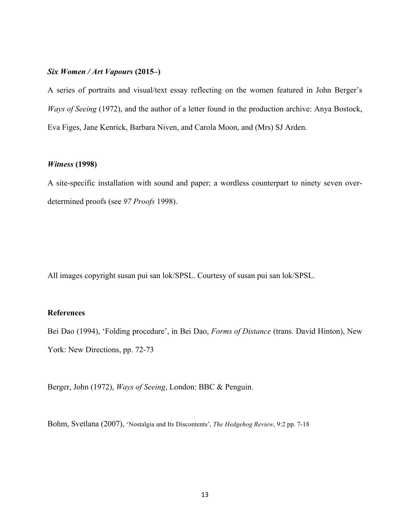# *Six Women / Art Vapours* **(2015–)**

A series of portraits and visual/text essay reflecting on the women featured in John Berger's *Ways of Seeing* (1972), and the author of a letter found in the production archive: Anya Bostock, Eva Figes, Jane Kenrick, Barbara Niven, and Carola Moon, and (Mrs) SJ Arden.

# *Witness* **(1998)**

A site-specific installation with sound and paper; a wordless counterpart to ninety seven overdetermined proofs (see *97 Proofs* 1998).

All images copyright susan pui san lok/SPSL. Courtesy of susan pui san lok/SPSL.

# **References**

Bei Dao (1994), 'Folding procedure', in Bei Dao, *Forms of Distance* (trans. David Hinton), New York: New Directions, pp. 72-73

Berger, John (1972), *Ways of Seeing*, London: BBC & Penguin.

Bohm, Svetlana (2007), 'Nostalgia and Its Discontents', *The Hedgehog Review*, 9:2 pp. 7-18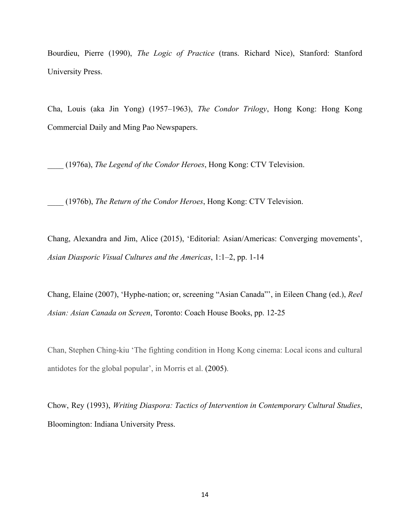Bourdieu, Pierre (1990), *The Logic of Practice* (trans. Richard Nice), Stanford: Stanford University Press.

Cha, Louis (aka Jin Yong) (1957–1963), *The Condor Trilogy*, Hong Kong: Hong Kong Commercial Daily and Ming Pao Newspapers.

\_\_\_\_ (1976a), *The Legend of the Condor Heroes*, Hong Kong: CTV Television.

\_\_\_\_ (1976b), *The Return of the Condor Heroes*, Hong Kong: CTV Television.

Chang, Alexandra and Jim, Alice (2015), 'Editorial: Asian/Americas: Converging movements', *Asian Diasporic Visual Cultures and the Americas*, 1:1–2, pp. 1-14

Chang, Elaine (2007), 'Hyphe-nation; or, screening "Asian Canada"', in Eileen Chang (ed.), *Reel Asian: Asian Canada on Screen*, Toronto: Coach House Books, pp. 12-25

Chan, Stephen Ching-kiu 'The fighting condition in Hong Kong cinema: Local icons and cultural antidotes for the global popular', in Morris et al. (2005).

Chow, Rey (1993), *Writing Diaspora: Tactics of Intervention in Contemporary Cultural Studies*, Bloomington: Indiana University Press.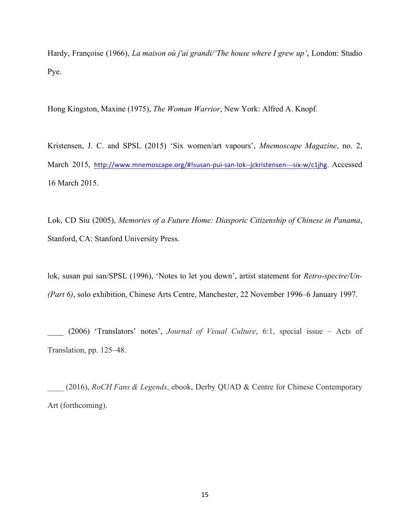Hardy, Françoise (1966), *La maison où j'ai grandi/'The house where I grew up'*, London: Studio Pye.

Hong Kingston, Maxine (1975), *The Woman Warrior*, New York: Alfred A. Knopf.

Kristensen, J. C. and SPSL (2015) 'Six women/art vapours', *Mnemoscape Magazine*, no. 2, March 2015, http://www.mnemoscape.org/#!susan-pui-san-lok--jckristensen---six-w/c1jhg. Accessed 16 March 2015.

Lok, CD Siu (2005), *Memories of a Future Home: Diasporic Citizenship of Chinese in Panama*, Stanford, CA: Stanford University Press.

lok, susan pui san/SPSL (1996), 'Notes to let you down', artist statement for *Retro-spectre/Un- (Part 6)*, solo exhibition, Chinese Arts Centre, Manchester, 22 November 1996–6 January 1997.

\_\_\_\_ (2006) 'Translators' notes', *Journal of Visual Culture*, 6:1, special issue – Acts of Translation, pp. 125–48.

\_\_\_\_ (2016), *RoCH Fans & Legends*, ebook, Derby QUAD & Centre for Chinese Contemporary Art (forthcoming).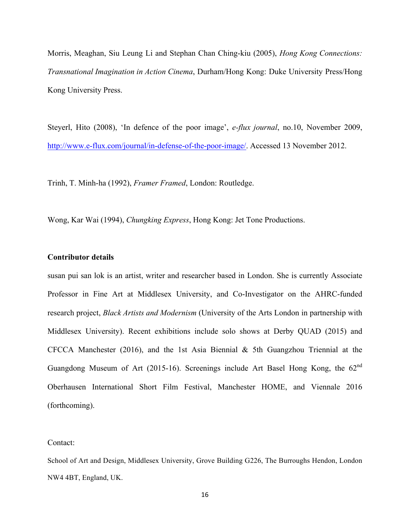Morris, Meaghan, Siu Leung Li and Stephan Chan Ching-kiu (2005), *Hong Kong Connections: Transnational Imagination in Action Cinema*, Durham/Hong Kong: Duke University Press/Hong Kong University Press.

Steyerl, Hito (2008), 'In defence of the poor image', *e-flux journal*, no.10, November 2009, http://www.e-flux.com/journal/in-defense-of-the-poor-image/. Accessed 13 November 2012.

Trinh, T. Minh-ha (1992), *Framer Framed*, London: Routledge.

Wong, Kar Wai (1994), *Chungking Express*, Hong Kong: Jet Tone Productions.

# **Contributor details**

susan pui san lok is an artist, writer and researcher based in London. She is currently Associate Professor in Fine Art at Middlesex University, and Co-Investigator on the AHRC-funded research project, *Black Artists and Modernism* (University of the Arts London in partnership with Middlesex University). Recent exhibitions include solo shows at Derby QUAD (2015) and CFCCA Manchester (2016), and the 1st Asia Biennial  $\&$  5th Guangzhou Triennial at the Guangdong Museum of Art (2015-16). Screenings include Art Basel Hong Kong, the  $62<sup>nd</sup>$ Oberhausen International Short Film Festival, Manchester HOME, and Viennale 2016 (forthcoming).

# Contact:

School of Art and Design, Middlesex University, Grove Building G226, The Burroughs Hendon, London NW4 4BT, England, UK.